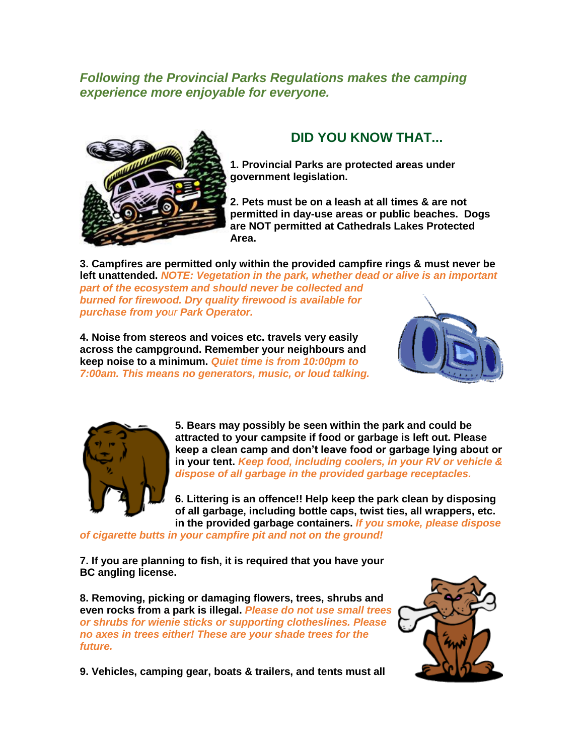*Following the Provincial Parks Regulations makes the camping experience more enjoyable for everyone.*



## **DID YOU KNOW THAT...**

**1. Provincial Parks are protected areas under government legislation.**

**2. Pets must be on a leash at all times & are not permitted in day-use areas or public beaches. Dogs are NOT permitted at Cathedrals Lakes Protected Area.**

**3. Campfires are permitted only within the provided campfire rings & must never be left unattended.** *NOTE: Vegetation in the park, whether dead or alive is an important part of the ecosystem and should never be collected and burned for firewood. Dry quality firewood is available for purchase from your Park Operator.*

**4. Noise from stereos and voices etc. travels very easily across the campground. Remember your neighbours and keep noise to a minimum.** *Quiet time is from 10:00pm to 7:00am. This means no generators, music, or loud talking.*





**5. Bears may possibly be seen within the park and could be attracted to your campsite if food or garbage is left out. Please keep a clean camp and don't leave food or garbage lying about or in your tent.** *Keep food, including coolers, in your RV or vehicle & dispose of all garbage in the provided garbage receptacles.*

**6. Littering is an offence!! Help keep the park clean by disposing of all garbage, including bottle caps, twist ties, all wrappers, etc. in the provided garbage containers.** *If you smoke, please dispose* 

*of cigarette butts in your campfire pit and not on the ground!*

**7. If you are planning to fish, it is required that you have your BC angling license.**

**8. Removing, picking or damaging flowers, trees, shrubs and even rocks from a park is illegal.** *Please do not use small trees or shrubs for wienie sticks or supporting clotheslines. Please no axes in trees either! These are your shade trees for the future.*



**9. Vehicles, camping gear, boats & trailers, and tents must all**